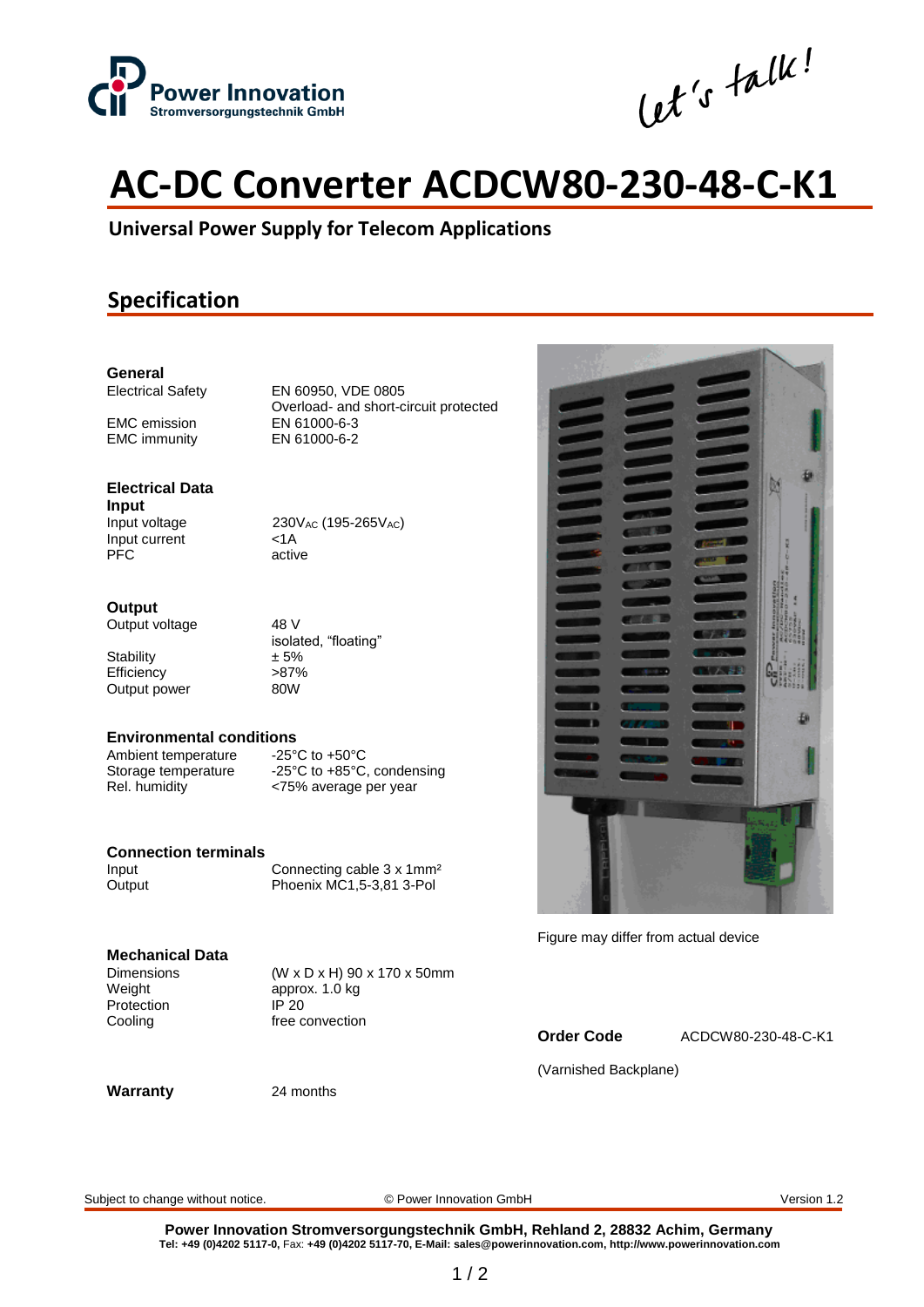

Cet's talk!

# **AC-DC Converter ACDCW80-230-48-C-K1**

**Universal Power Supply for Telecom Applications**

## **Specification**

## **General**

EMC emission<br>
EMC immunity<br>
EN 61000-6-2 **EMC** immunity

Electrical Safety EN 60950, VDE 0805 Overload- and short-circuit protected<br>EN 61000-6-3

## **Electrical Data**

**Input** Input current <1A<br>PFC activ

Input voltage 230V<sub>AC</sub> (195-265V<sub>AC</sub>) active

#### **Output**

Output voltage 48 V

Stability  $\pm 5\%$ <br>Efficiency  $>87\%$ Efficiency >87%<br>Output power 0000 Output power

isolated, "floating"

## **Environmental conditions**<br>Ambient temperature -25°C to +50°C

Ambient temperature<br>Storage temperature -25°C to +85°C, condensing Rel. humidity <75% average per year

### **Connection terminals**

Input Connecting cable 3 x 1mm<sup>2</sup> Output Phoenix MC1,5-3,81 3-Pol

## **Mechanical Data**

Weight approx. 1.0 kg Protection IP 20

 $(W \times D \times H)$  90 x 170 x 50mm Cooling The convection

#### **Warranty** 24 months



Figure may differ from actual device

**Order Code** ACDCW80-230-48-C-K1

(Varnished Backplane)

Subject to change without notice. © Power Innovation GmbH Version 1.2

**Power Innovation Stromversorgungstechnik GmbH, Rehland 2, 28832 Achim, Germany Tel: +49 (0)4202 5117-0,** Fax: **+49 (0)4202 5117-70, E-Mail: sales@powerinnovation.com, http://www.powerinnovation.com**